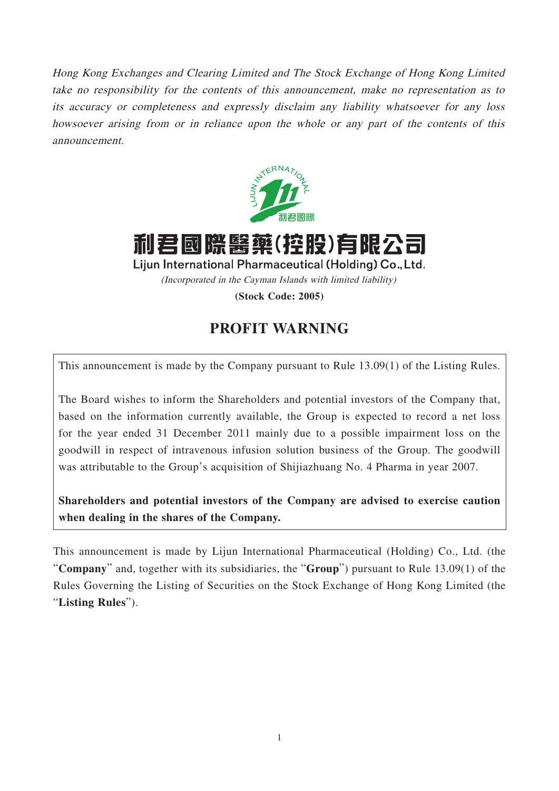Hong Kong Exchanges and Clearing Limited and The Stock Exchange of Hong Kong Limited take no responsibility for the contents of this announcement, make no representation as to its accuracy or completeness and expressly disclaim any liability whatsoever for any loss howsoever arising from or in reliance upon the whole or any part of the contents of this announcement.



利君國際醫藥(控股)有限公司

Lijun International Pharmaceutical (Holding) Co., Ltd. (Incorporated in the Cayman Islands with limited liability)

**(Stock Code: 2005)**

## **PROFIT WARNING**

This announcement is made by the Company pursuant to Rule 13.09(1) of the Listing Rules.

The Board wishes to inform the Shareholders and potential investors of the Company that, based on the information currently available, the Group is expected to record a net loss for the year ended 31 December 2011 mainly due to a possible impairment loss on the goodwill in respect of intravenous infusion solution business of the Group. The goodwill was attributable to the Group's acquisition of Shijiazhuang No. 4 Pharma in year 2007.

**Shareholders and potential investors of the Company are advised to exercise caution when dealing in the shares of the Company.**

This announcement is made by Lijun International Pharmaceutical (Holding) Co., Ltd. (the "**Company**" and, together with its subsidiaries, the "**Group**") pursuant to Rule 13.09(1) of the Rules Governing the Listing of Securities on the Stock Exchange of Hong Kong Limited (the "**Listing Rules**").